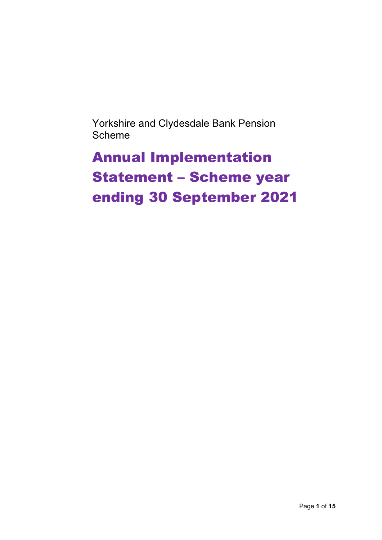Yorkshire and Clydesdale Bank Pension Scheme

# Annual Implementation Statement – Scheme year ending 30 September 2021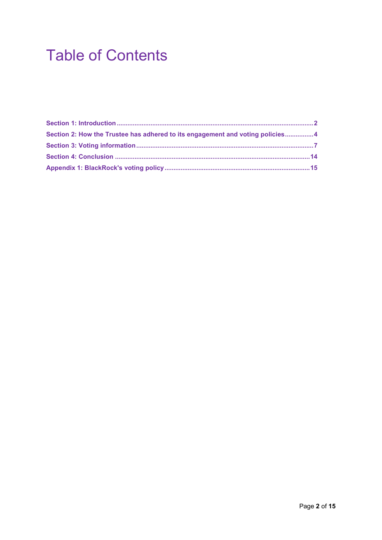## Table of Contents

| Section 2: How the Trustee has adhered to its engagement and voting policies4 |  |
|-------------------------------------------------------------------------------|--|
|                                                                               |  |
|                                                                               |  |
|                                                                               |  |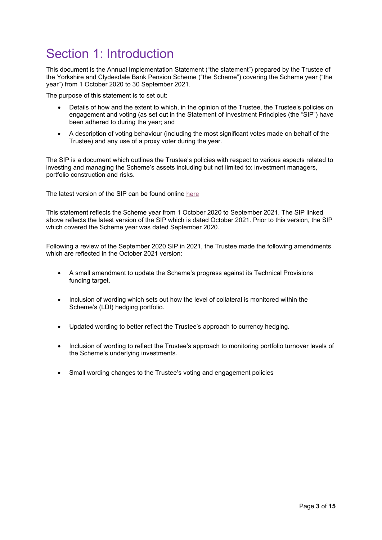### Section 1: Introduction

This document is the Annual Implementation Statement ("the statement") prepared by the Trustee of the Yorkshire and Clydesdale Bank Pension Scheme ("the Scheme") covering the Scheme year ("the year") from 1 October 2020 to 30 September 2021.

The purpose of this statement is to set out:

- Details of how and the extent to which, in the opinion of the Trustee, the Trustee's policies on engagement and voting (as set out in the Statement of Investment Principles (the "SIP") have been adhered to during the year; and
- A description of voting behaviour (including the most significant votes made on behalf of the Trustee) and any use of a proxy voter during the year.

The SIP is a document which outlines the Trustee's policies with respect to various aspects related to investing and managing the Scheme's assets including but not limited to: investment managers, portfolio construction and risks.

Thelatest version of the SIP can be found online here

This statement reflects the Scheme year from 1 October 2020 to September 2021. The SIP linked above reflects the latest version of the SIP which is dated October 2021. Prior to this version, the SIP which covered the Scheme year was dated September 2020.

Following a review of the September 2020 SIP in 2021, the Trustee made the following amendments which are reflected in the October 2021 version:

- A small amendment to update the Scheme's progress against its Technical Provisions funding target.
- Inclusion of wording which sets out how the level of collateral is monitored within the Scheme's (LDI) hedging portfolio.
- Updated wording to better reflect the Trustee's approach to currency hedging.
- Inclusion of wording to reflect the Trustee's approach to monitoring portfolio turnover levels of the Scheme's underlying investments.
- Small wording changes to the Trustee's voting and engagement policies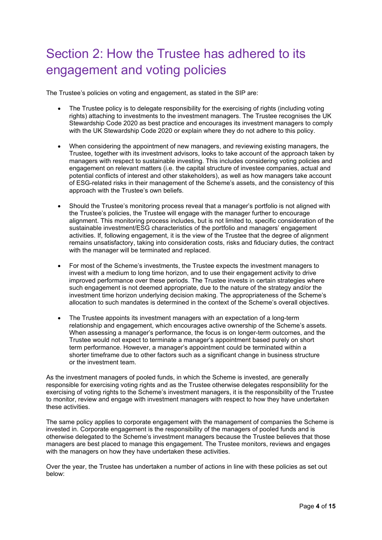### Section 2: How the Trustee has adhered to its engagement and voting policies

The Trustee's policies on voting and engagement, as stated in the SIP are:

- The Trustee policy is to delegate responsibility for the exercising of rights (including voting rights) attaching to investments to the investment managers. The Trustee recognises the UK Stewardship Code 2020 as best practice and encourages its investment managers to comply with the UK Stewardship Code 2020 or explain where they do not adhere to this policy.
- When considering the appointment of new managers, and reviewing existing managers, the Trustee, together with its investment advisors, looks to take account of the approach taken by managers with respect to sustainable investing. This includes considering voting policies and engagement on relevant matters (i.e. the capital structure of investee companies, actual and potential conflicts of interest and other stakeholders), as well as how managers take account of ESG-related risks in their management of the Scheme's assets, and the consistency of this approach with the Trustee's own beliefs.
- Should the Trustee's monitoring process reveal that a manager's portfolio is not aligned with the Trustee's policies, the Trustee will engage with the manager further to encourage alignment. This monitoring process includes, but is not limited to, specific consideration of the sustainable investment/ESG characteristics of the portfolio and managers' engagement activities. If, following engagement, it is the view of the Trustee that the degree of alignment remains unsatisfactory, taking into consideration costs, risks and fiduciary duties, the contract with the manager will be terminated and replaced.
- For most of the Scheme's investments, the Trustee expects the investment managers to invest with a medium to long time horizon, and to use their engagement activity to drive improved performance over these periods. The Trustee invests in certain strategies where such engagement is not deemed appropriate, due to the nature of the strategy and/or the investment time horizon underlying decision making. The appropriateness of the Scheme's allocation to such mandates is determined in the context of the Scheme's overall objectives.
- The Trustee appoints its investment managers with an expectation of a long-term relationship and engagement, which encourages active ownership of the Scheme's assets. When assessing a manager's performance, the focus is on longer-term outcomes, and the Trustee would not expect to terminate a manager's appointment based purely on short term performance. However, a manager's appointment could be terminated within a shorter timeframe due to other factors such as a significant change in business structure or the investment team.

As the investment managers of pooled funds, in which the Scheme is invested, are generally responsible for exercising voting rights and as the Trustee otherwise delegates responsibility for the exercising of voting rights to the Scheme's investment managers, it is the responsibility of the Trustee to monitor, review and engage with investment managers with respect to how they have undertaken these activities.

The same policy applies to corporate engagement with the management of companies the Scheme is invested in. Corporate engagement is the responsibility of the managers of pooled funds and is otherwise delegated to the Scheme's investment managers because the Trustee believes that those managers are best placed to manage this engagement. The Trustee monitors, reviews and engages with the managers on how they have undertaken these activities.

Over the year, the Trustee has undertaken a number of actions in line with these policies as set out below: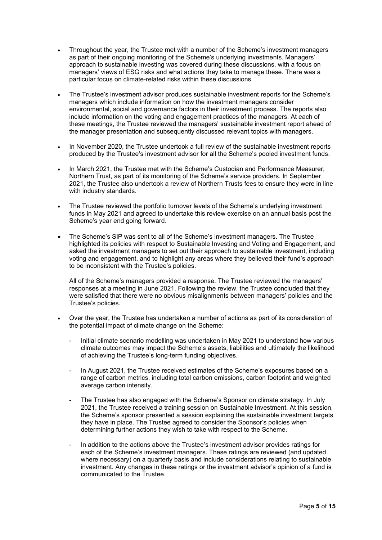- Throughout the year, the Trustee met with a number of the Scheme's investment managers as part of their ongoing monitoring of the Scheme's underlying investments. Managers' approach to sustainable investing was covered during these discussions, with a focus on managers' views of ESG risks and what actions they take to manage these. There was a particular focus on climate-related risks within these discussions.
- The Trustee's investment advisor produces sustainable investment reports for the Scheme's managers which include information on how the investment managers consider environmental, social and governance factors in their investment process. The reports also include information on the voting and engagement practices of the managers. At each of these meetings, the Trustee reviewed the managers' sustainable investment report ahead of the manager presentation and subsequently discussed relevant topics with managers.
- In November 2020, the Trustee undertook a full review of the sustainable investment reports produced by the Trustee's investment advisor for all the Scheme's pooled investment funds.
- In March 2021, the Trustee met with the Scheme's Custodian and Performance Measurer, Northern Trust, as part of its monitoring of the Scheme's service providers. In September 2021, the Trustee also undertook a review of Northern Trusts fees to ensure they were in line with industry standards.
- The Trustee reviewed the portfolio turnover levels of the Scheme's underlying investment funds in May 2021 and agreed to undertake this review exercise on an annual basis post the Scheme's year end going forward.
- The Scheme's SIP was sent to all of the Scheme's investment managers. The Trustee highlighted its policies with respect to Sustainable Investing and Voting and Engagement, and asked the investment managers to set out their approach to sustainable investment, including voting and engagement, and to highlight any areas where they believed their fund's approach to be inconsistent with the Trustee's policies.

All of the Scheme's managers provided a response. The Trustee reviewed the managers' responses at a meeting in June 2021. Following the review, the Trustee concluded that they were satisfied that there were no obvious misalignments between managers' policies and the Trustee's policies.

- Over the year, the Trustee has undertaken a number of actions as part of its consideration of the potential impact of climate change on the Scheme:
	- Initial climate scenario modelling was undertaken in May 2021 to understand how various climate outcomes may impact the Scheme's assets, liabilities and ultimately the likelihood of achieving the Trustee's long-term funding objectives.
	- In August 2021, the Trustee received estimates of the Scheme's exposures based on a range of carbon metrics, including total carbon emissions, carbon footprint and weighted average carbon intensity.
	- The Trustee has also engaged with the Scheme's Sponsor on climate strategy. In July 2021, the Trustee received a training session on Sustainable Investment. At this session, the Scheme's sponsor presented a session explaining the sustainable investment targets they have in place. The Trustee agreed to consider the Sponsor's policies when determining further actions they wish to take with respect to the Scheme.
	- In addition to the actions above the Trustee's investment advisor provides ratings for each of the Scheme's investment managers. These ratings are reviewed (and updated where necessary) on a quarterly basis and include considerations relating to sustainable investment. Any changes in these ratings or the investment advisor's opinion of a fund is communicated to the Trustee.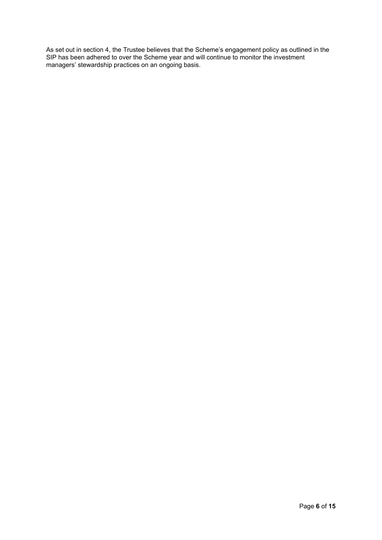As set out in section 4, the Trustee believes that the Scheme's engagement policy as outlined in the SIP has been adhered to over the Scheme year and will continue to monitor the investment managers' stewardship practices on an ongoing basis.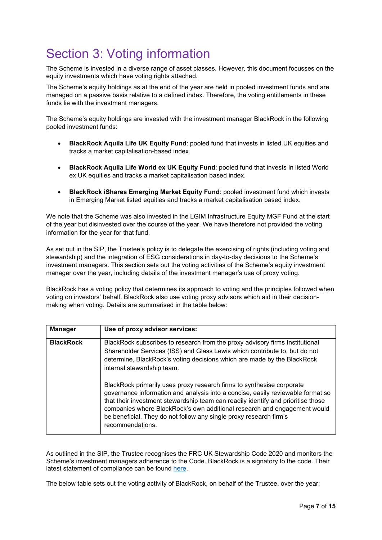## Section 3: Voting information

The Scheme is invested in a diverse range of asset classes. However, this document focusses on the equity investments which have voting rights attached.

The Scheme's equity holdings as at the end of the year are held in pooled investment funds and are managed on a passive basis relative to a defined index. Therefore, the voting entitlements in these funds lie with the investment managers.

The Scheme's equity holdings are invested with the investment manager BlackRock in the following pooled investment funds:

- **BlackRock Aquila Life UK Equity Fund**: pooled fund that invests in listed UK equities and tracks a market capitalisation-based index.
- **BlackRock Aquila Life World ex UK Equity Fund: pooled fund that invests in listed World** ex UK equities and tracks a market capitalisation based index.
- **BlackRock iShares Emerging Market Equity Fund**: pooled investment fund which invests in Emerging Market listed equities and tracks a market capitalisation based index.

We note that the Scheme was also invested in the LGIM Infrastructure Equity MGF Fund at the start of the year but disinvested over the course of the year. We have therefore not provided the voting information for the year for that fund.

As set out in the SIP, the Trustee's policy is to delegate the exercising of rights (including voting and stewardship) and the integration of ESG considerations in day-to-day decisions to the Scheme's investment managers. This section sets out the voting activities of the Scheme's equity investment manager over the year, including details of the investment manager's use of proxy voting.

BlackRock has a voting policy that determines its approach to voting and the principles followed when voting on investors' behalf. BlackRock also use voting proxy advisors which aid in their decisionmaking when voting. Details are summarised in the table below:

| <b>Manager</b>   | Use of proxy advisor services:                                                                                                                                                                                                                                                                                                                                                                                     |
|------------------|--------------------------------------------------------------------------------------------------------------------------------------------------------------------------------------------------------------------------------------------------------------------------------------------------------------------------------------------------------------------------------------------------------------------|
| <b>BlackRock</b> | BlackRock subscribes to research from the proxy advisory firms Institutional<br>Shareholder Services (ISS) and Glass Lewis which contribute to, but do not<br>determine, BlackRock's voting decisions which are made by the BlackRock<br>internal stewardship team.                                                                                                                                                |
|                  | BlackRock primarily uses proxy research firms to synthesise corporate<br>governance information and analysis into a concise, easily reviewable format so<br>that their investment stewardship team can readily identify and prioritise those<br>companies where BlackRock's own additional research and engagement would<br>be beneficial. They do not follow any single proxy research firm's<br>recommendations. |

As outlined in the SIP, the Trustee recognises the FRC UK Stewardship Code 2020 and monitors the Scheme's investment managers adherence to the Code. BlackRock is a signatory to the code. Their latest statement of compliance can be found here.

The below table sets out the voting activity of BlackRock, on behalf of the Trustee, over the year: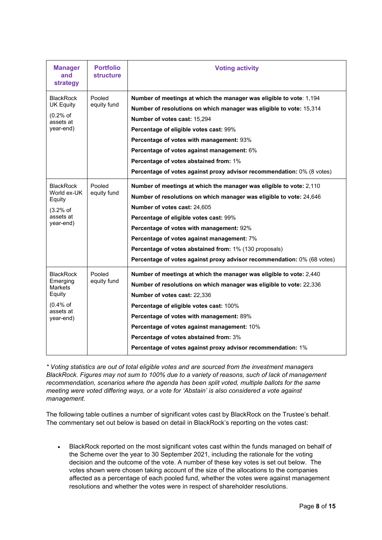| <b>Manager</b><br>and<br>strategy                                                         | <b>Portfolio</b><br><b>structure</b> | <b>Voting activity</b>                                                                                                                                                                                                                                                                                                                                                                                                                              |
|-------------------------------------------------------------------------------------------|--------------------------------------|-----------------------------------------------------------------------------------------------------------------------------------------------------------------------------------------------------------------------------------------------------------------------------------------------------------------------------------------------------------------------------------------------------------------------------------------------------|
| <b>BlackRock</b><br>UK Equity<br>$(0.2%$ of<br>assets at<br>year-end)                     | Pooled<br>equity fund                | Number of meetings at which the manager was eligible to vote: 1,194<br>Number of resolutions on which manager was eligible to vote: 15,314<br>Number of votes cast: 15,294<br>Percentage of eligible votes cast: 99%<br><b>Percentage of votes with management: 93%</b><br>Percentage of votes against management: 6%<br>Percentage of votes abstained from: 1%<br>Percentage of votes against proxy advisor recommendation: 0% (8 votes)           |
| <b>BlackRock</b><br>World ex-UK<br>Equity<br>$(3.2%$ of<br>assets at<br>year-end)         | Pooled<br>equity fund                | Number of meetings at which the manager was eligible to vote: 2,110<br>Number of resolutions on which manager was eligible to vote: 24,646<br>Number of votes cast: 24,605<br>Percentage of eligible votes cast: 99%<br>Percentage of votes with management: 92%<br>Percentage of votes against management: 7%<br>Percentage of votes abstained from: 1% (130 proposals)<br>Percentage of votes against proxy advisor recommendation: 0% (68 votes) |
| <b>BlackRock</b><br>Emerging<br>Markets<br>Equity<br>$(0.4%$ of<br>assets at<br>year-end) | Pooled<br>equity fund                | Number of meetings at which the manager was eligible to vote: 2,440<br>Number of resolutions on which manager was eligible to vote: 22,336<br>Number of votes cast: 22,336<br>Percentage of eligible votes cast: 100%<br>Percentage of votes with management: 89%<br>Percentage of votes against management: 10%<br>Percentage of votes abstained from: 3%<br>Percentage of votes against proxy advisor recommendation: 1%                          |

*\* Voting statistics are out of total eligible votes and are sourced from the investment managers BlackRock. Figures may not sum to 100% due to a variety of reasons, such of lack of management recommendation, scenarios where the agenda has been split voted, multiple ballots for the same meeting were voted differing ways, or a vote for 'Abstain' is also considered a vote against management.* 

The following table outlines a number of significant votes cast by BlackRock on the Trustee's behalf. The commentary set out below is based on detail in BlackRock's reporting on the votes cast:

 BlackRock reported on the most significant votes cast within the funds managed on behalf of the Scheme over the year to 30 September 2021, including the rationale for the voting decision and the outcome of the vote. A number of these key votes is set out below. The votes shown were chosen taking account of the size of the allocations to the companies affected as a percentage of each pooled fund, whether the votes were against management resolutions and whether the votes were in respect of shareholder resolutions.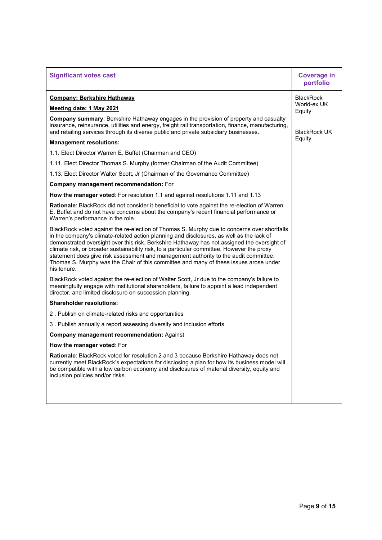| <b>Significant votes cast</b>                                                                                                                                                                                                                                                                                                                                                                                                                                                                                                                                                        | <b>Coverage in</b><br>portfolio |
|--------------------------------------------------------------------------------------------------------------------------------------------------------------------------------------------------------------------------------------------------------------------------------------------------------------------------------------------------------------------------------------------------------------------------------------------------------------------------------------------------------------------------------------------------------------------------------------|---------------------------------|
| <b>Company: Berkshire Hathaway</b>                                                                                                                                                                                                                                                                                                                                                                                                                                                                                                                                                   | <b>BlackRock</b>                |
| Meeting date: 1 May 2021                                                                                                                                                                                                                                                                                                                                                                                                                                                                                                                                                             | World-ex UK<br>Equity           |
| <b>Company summary:</b> Berkshire Hathaway engages in the provision of property and casualty<br>insurance, reinsurance, utilities and energy, freight rail transportation, finance, manufacturing,<br>and retailing services through its diverse public and private subsidiary businesses.                                                                                                                                                                                                                                                                                           | <b>BlackRock UK</b>             |
| <b>Management resolutions:</b>                                                                                                                                                                                                                                                                                                                                                                                                                                                                                                                                                       | Equity                          |
| 1.1. Elect Director Warren E. Buffet (Chairman and CEO)                                                                                                                                                                                                                                                                                                                                                                                                                                                                                                                              |                                 |
| 1.11. Elect Director Thomas S. Murphy (former Chairman of the Audit Committee)                                                                                                                                                                                                                                                                                                                                                                                                                                                                                                       |                                 |
| 1.13. Elect Director Walter Scott, Jr (Chairman of the Governance Committee)                                                                                                                                                                                                                                                                                                                                                                                                                                                                                                         |                                 |
| <b>Company management recommendation: For</b>                                                                                                                                                                                                                                                                                                                                                                                                                                                                                                                                        |                                 |
| <b>How the manager voted:</b> For resolution 1.1 and against resolutions 1.11 and 1.13                                                                                                                                                                                                                                                                                                                                                                                                                                                                                               |                                 |
| <b>Rationale:</b> BlackRock did not consider it beneficial to vote against the re-election of Warren<br>E. Buffet and do not have concerns about the company's recent financial performance or<br>Warren's performance in the role.                                                                                                                                                                                                                                                                                                                                                  |                                 |
| BlackRock voted against the re-election of Thomas S. Murphy due to concerns over shortfalls<br>in the company's climate-related action planning and disclosures, as well as the lack of<br>demonstrated oversight over this risk. Berkshire Hathaway has not assigned the oversight of<br>climate risk, or broader sustainability risk, to a particular committee. However the proxy<br>statement does give risk assessment and management authority to the audit committee.<br>Thomas S. Murphy was the Chair of this committee and many of these issues arose under<br>his tenure. |                                 |
| BlackRock voted against the re-election of Walter Scott, Jr due to the company's failure to<br>meaningfully engage with institutional shareholders, failure to appoint a lead independent<br>director, and limited disclosure on succession planning.                                                                                                                                                                                                                                                                                                                                |                                 |
| <b>Shareholder resolutions:</b>                                                                                                                                                                                                                                                                                                                                                                                                                                                                                                                                                      |                                 |
| 2. Publish on climate-related risks and opportunities                                                                                                                                                                                                                                                                                                                                                                                                                                                                                                                                |                                 |
| 3. Publish annually a report assessing diversity and inclusion efforts                                                                                                                                                                                                                                                                                                                                                                                                                                                                                                               |                                 |
| <b>Company management recommendation: Against</b>                                                                                                                                                                                                                                                                                                                                                                                                                                                                                                                                    |                                 |
| How the manager voted: For                                                                                                                                                                                                                                                                                                                                                                                                                                                                                                                                                           |                                 |
| Rationale: BlackRock voted for resolution 2 and 3 because Berkshire Hathaway does not<br>currently meet BlackRock's expectations for disclosing a plan for how its business model will<br>be compatible with a low carbon economy and disclosures of material diversity, equity and<br>inclusion policies and/or risks.                                                                                                                                                                                                                                                              |                                 |
|                                                                                                                                                                                                                                                                                                                                                                                                                                                                                                                                                                                      |                                 |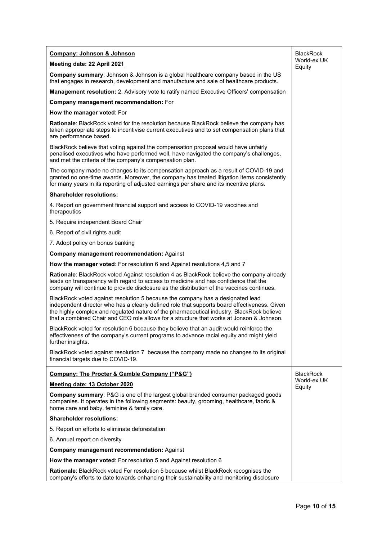| <b>Company: Johnson &amp; Johnson</b>                                                                                                                                                                                                                                                                                                                                    | <b>BlackRock</b>      |
|--------------------------------------------------------------------------------------------------------------------------------------------------------------------------------------------------------------------------------------------------------------------------------------------------------------------------------------------------------------------------|-----------------------|
| Meeting date: 22 April 2021                                                                                                                                                                                                                                                                                                                                              | World-ex UK           |
|                                                                                                                                                                                                                                                                                                                                                                          | Equity                |
| <b>Company summary:</b> Johnson & Johnson is a global healthcare company based in the US<br>that engages in research, development and manufacture and sale of healthcare products.                                                                                                                                                                                       |                       |
| <b>Management resolution:</b> 2. Advisory vote to ratify named Executive Officers' compensation                                                                                                                                                                                                                                                                          |                       |
| Company management recommendation: For                                                                                                                                                                                                                                                                                                                                   |                       |
| How the manager voted: For                                                                                                                                                                                                                                                                                                                                               |                       |
| Rationale: BlackRock voted for the resolution because BlackRock believe the company has<br>taken appropriate steps to incentivise current executives and to set compensation plans that<br>are performance based.                                                                                                                                                        |                       |
| BlackRock believe that voting against the compensation proposal would have unfairly<br>penalised executives who have performed well, have navigated the company's challenges,<br>and met the criteria of the company's compensation plan.                                                                                                                                |                       |
| The company made no changes to its compensation approach as a result of COVID-19 and<br>granted no one-time awards. Moreover, the company has treated litigation items consistently<br>for many years in its reporting of adjusted earnings per share and its incentive plans.                                                                                           |                       |
| <b>Shareholder resolutions:</b>                                                                                                                                                                                                                                                                                                                                          |                       |
| 4. Report on government financial support and access to COVID-19 vaccines and<br>therapeutics                                                                                                                                                                                                                                                                            |                       |
| 5. Require independent Board Chair                                                                                                                                                                                                                                                                                                                                       |                       |
| 6. Report of civil rights audit                                                                                                                                                                                                                                                                                                                                          |                       |
| 7. Adopt policy on bonus banking                                                                                                                                                                                                                                                                                                                                         |                       |
| <b>Company management recommendation: Against</b>                                                                                                                                                                                                                                                                                                                        |                       |
| How the manager voted: For resolution 6 and Against resolutions 4,5 and 7                                                                                                                                                                                                                                                                                                |                       |
| Rationale: BlackRock voted Against resolution 4 as BlackRock believe the company already<br>leads on transparency with regard to access to medicine and has confidence that the<br>company will continue to provide disclosure as the distribution of the vaccines continues.                                                                                            |                       |
| BlackRock voted against resolution 5 because the company has a designated lead<br>independent director who has a clearly defined role that supports board effectiveness. Given<br>the highly complex and regulated nature of the pharmaceutical industry, BlackRock believe<br>that a combined Chair and CEO role allows for a structure that works at Jonson & Johnson. |                       |
| BlackRock voted for resolution 6 because they believe that an audit would reinforce the<br>effectiveness of the company's current programs to advance racial equity and might yield<br>further insights.                                                                                                                                                                 |                       |
| BlackRock voted against resolution 7 because the company made no changes to its original<br>financial targets due to COVID-19.                                                                                                                                                                                                                                           |                       |
| Company: The Procter & Gamble Company ("P&G")                                                                                                                                                                                                                                                                                                                            | <b>BlackRock</b>      |
| Meeting date: 13 October 2020                                                                                                                                                                                                                                                                                                                                            | World-ex UK<br>Equity |
| <b>Company summary: P&amp;G</b> is one of the largest global branded consumer packaged goods<br>companies. It operates in the following segments: beauty, grooming, healthcare, fabric &<br>home care and baby, feminine & family care.                                                                                                                                  |                       |
| <b>Shareholder resolutions:</b>                                                                                                                                                                                                                                                                                                                                          |                       |
| 5. Report on efforts to eliminate deforestation                                                                                                                                                                                                                                                                                                                          |                       |
| 6. Annual report on diversity                                                                                                                                                                                                                                                                                                                                            |                       |
| Company management recommendation: Against                                                                                                                                                                                                                                                                                                                               |                       |
| How the manager voted: For resolution 5 and Against resolution 6                                                                                                                                                                                                                                                                                                         |                       |
| Rationale: BlackRock voted For resolution 5 because whilst BlackRock recognises the<br>company's efforts to date towards enhancing their sustainability and monitoring disclosure                                                                                                                                                                                        |                       |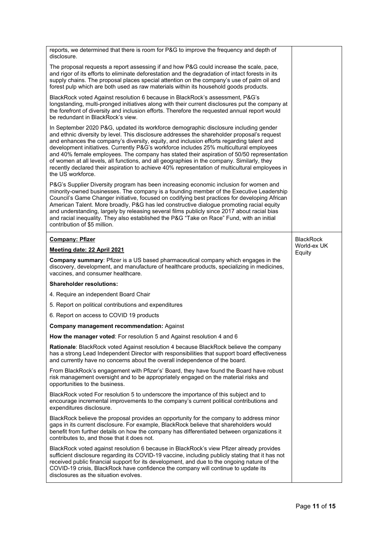| reports, we determined that there is room for P&G to improve the frequency and depth of<br>disclosure.                                                                                                                                                                                                                                                                                                                                                                                                                                                                                                                                                                                       |                       |
|----------------------------------------------------------------------------------------------------------------------------------------------------------------------------------------------------------------------------------------------------------------------------------------------------------------------------------------------------------------------------------------------------------------------------------------------------------------------------------------------------------------------------------------------------------------------------------------------------------------------------------------------------------------------------------------------|-----------------------|
| The proposal requests a report assessing if and how P&G could increase the scale, pace,<br>and rigor of its efforts to eliminate deforestation and the degradation of intact forests in its<br>supply chains. The proposal places special attention on the company's use of palm oil and<br>forest pulp which are both used as raw materials within its household goods products.                                                                                                                                                                                                                                                                                                            |                       |
| BlackRock voted Against resolution 6 because in BlackRock's assessment, P&G's<br>longstanding, multi-pronged initiatives along with their current disclosures put the company at<br>the forefront of diversity and inclusion efforts. Therefore the requested annual report would<br>be redundant in BlackRock's view.                                                                                                                                                                                                                                                                                                                                                                       |                       |
| In September 2020 P&G, updated its workforce demographic disclosure including gender<br>and ethnic diversity by level. This disclosure addresses the shareholder proposal's request<br>and enhances the company's diversity, equity, and inclusion efforts regarding talent and<br>development initiatives. Currently P&G's workforce includes 25% multicultural employees<br>and 40% female employees. The company has stated their aspiration of 50/50 representation<br>of women at all levels, all functions, and all geographies in the company. Similarly, they<br>recently declared their aspiration to achieve 40% representation of multicultural employees in<br>the US workforce. |                       |
| P&G's Supplier Diversity program has been increasing economic inclusion for women and<br>minority-owned businesses. The company is a founding member of the Executive Leadership<br>Council's Game Changer initiative, focused on codifying best practices for developing African<br>American Talent. More broadly, P&G has led constructive dialogue promoting racial equity<br>and understanding, largely by releasing several films publicly since 2017 about racial bias<br>and racial inequality. They also established the P&G "Take on Race" Fund, with an initial<br>contribution of \$5 million.                                                                                    |                       |
| <b>Company: Pfizer</b>                                                                                                                                                                                                                                                                                                                                                                                                                                                                                                                                                                                                                                                                       | <b>BlackRock</b>      |
| Meeting date: 22 April 2021                                                                                                                                                                                                                                                                                                                                                                                                                                                                                                                                                                                                                                                                  | World-ex UK<br>Equity |
| <b>Company summary:</b> Pfizer is a US based pharmaceutical company which engages in the<br>discovery, development, and manufacture of healthcare products, specializing in medicines,<br>vaccines, and consumer healthcare.                                                                                                                                                                                                                                                                                                                                                                                                                                                                 |                       |
| <b>Shareholder resolutions:</b>                                                                                                                                                                                                                                                                                                                                                                                                                                                                                                                                                                                                                                                              |                       |
| 4. Require an independent Board Chair                                                                                                                                                                                                                                                                                                                                                                                                                                                                                                                                                                                                                                                        |                       |
| 5. Report on political contributions and expenditures                                                                                                                                                                                                                                                                                                                                                                                                                                                                                                                                                                                                                                        |                       |
| 6. Report on access to COVID 19 products                                                                                                                                                                                                                                                                                                                                                                                                                                                                                                                                                                                                                                                     |                       |
| Company management recommendation: Against                                                                                                                                                                                                                                                                                                                                                                                                                                                                                                                                                                                                                                                   |                       |
| How the manager voted: For resolution 5 and Against resolution 4 and 6                                                                                                                                                                                                                                                                                                                                                                                                                                                                                                                                                                                                                       |                       |
| Rationale: BlackRock voted Against resolution 4 because BlackRock believe the company<br>has a strong Lead Independent Director with responsibilities that support board effectiveness<br>and currently have no concerns about the overall independence of the board.                                                                                                                                                                                                                                                                                                                                                                                                                        |                       |
| From BlackRock's engagement with Pfizer's' Board, they have found the Board have robust<br>risk management oversight and to be appropriately engaged on the material risks and<br>opportunities to the business.                                                                                                                                                                                                                                                                                                                                                                                                                                                                             |                       |
| BlackRock voted For resolution 5 to underscore the importance of this subject and to<br>encourage incremental improvements to the company's current political contributions and<br>expenditures disclosure.                                                                                                                                                                                                                                                                                                                                                                                                                                                                                  |                       |
| BlackRock believe the proposal provides an opportunity for the company to address minor                                                                                                                                                                                                                                                                                                                                                                                                                                                                                                                                                                                                      |                       |
| gaps in its current disclosure. For example, BlackRock believe that shareholders would<br>benefit from further details on how the company has differentiated between organizations it<br>contributes to, and those that it does not.                                                                                                                                                                                                                                                                                                                                                                                                                                                         |                       |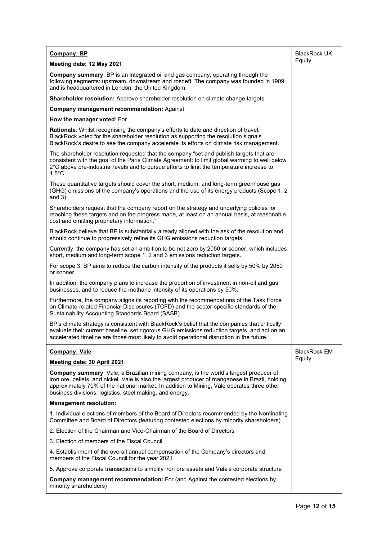| <b>Company: BP</b>                                                                                                                                                                                                                                                                                                                                  | <b>BlackRock UK</b> |
|-----------------------------------------------------------------------------------------------------------------------------------------------------------------------------------------------------------------------------------------------------------------------------------------------------------------------------------------------------|---------------------|
| Meeting date: 12 May 2021                                                                                                                                                                                                                                                                                                                           | Equity              |
| <b>Company summary:</b> BP is an integrated oil and gas company, operating through the<br>following segments: upstream, downstream and rosneft. The company was founded in 1909<br>and is headquartered in London, the United Kingdom.                                                                                                              |                     |
| <b>Shareholder resolution:</b> Approve shareholder resolution on climate change targets                                                                                                                                                                                                                                                             |                     |
| <b>Company management recommendation: Against</b>                                                                                                                                                                                                                                                                                                   |                     |
| How the manager voted: For                                                                                                                                                                                                                                                                                                                          |                     |
| Rationale: Whilst recognising the company's efforts to date and direction of travel,<br>BlackRock voted for the shareholder resolution as supporting the resolution signals<br>BlackRock's desire to see the company accelerate its efforts on climate risk management.                                                                             |                     |
| The shareholder resolution requested that the company "set and publish targets that are<br>consistent with the goal of the Paris Climate Agreement: to limit global warming to well below<br>2°C above pre-industrial levels and to pursue efforts to limit the temperature increase to<br>$1.5^{\circ}$ C.                                         |                     |
| These quantitative targets should cover the short, medium, and long-term greenhouse gas<br>(GHG) emissions of the company's operations and the use of its energy products (Scope 1, 2)<br>and $3$ ).                                                                                                                                                |                     |
| Shareholders request that the company report on the strategy and underlying policies for<br>reaching these targets and on the progress made, at least on an annual basis, at reasonable<br>cost and omitting proprietary information."                                                                                                              |                     |
| BlackRock believe that BP is substantially already aligned with the ask of the resolution and<br>should continue to progressively refine its GHG emissions reduction targets.                                                                                                                                                                       |                     |
| Currently, the company has set an ambition to be net zero by 2050 or sooner, which includes<br>short, medium and long-term scope 1, 2 and 3 emissions reduction targets.                                                                                                                                                                            |                     |
| For scope 3, BP aims to reduce the carbon intensity of the products it sells by 50% by 2050<br>or sooner.                                                                                                                                                                                                                                           |                     |
| In addition, the company plans to increase the proportion of investment in non-oil and gas<br>businesses, and to reduce the methane intensity of its operations by 50%.                                                                                                                                                                             |                     |
| Furthermore, the company aligns its reporting with the recommendations of the Task Force<br>on Climate-related Financial Disclosures (TCFD) and the sector-specific standards of the<br>Sustainability Accounting Standards Board (SASB).                                                                                                           |                     |
| BP's climate strategy is consistent with BlackRock's belief that the companies that critically<br>evaluate their current baseline, set rigorous GHG emissions reduction targets, and act on an<br>accelerated timeline are those most likely to avoid operational disruption in the future.                                                         |                     |
| <b>Company: Vale</b>                                                                                                                                                                                                                                                                                                                                | <b>BlackRock EM</b> |
| Meeting date: 30 April 2021                                                                                                                                                                                                                                                                                                                         | Equity              |
| Company summary: Vale, a Brazilian mining company, is the world's largest producer of<br>iron ore, pellets, and nickel. Vale is also the largest producer of manganese in Brazil, holding<br>approximately 70% of the national market. In addition to Mining, Vale operates three other<br>business divisions: logistics, steel making, and energy. |                     |
| <b>Management resolution:</b>                                                                                                                                                                                                                                                                                                                       |                     |
| 1. Individual elections of members of the Board of Directors recommended by the Nominating<br>Committee and Board of Directors (featuring contested elections by minority shareholders)                                                                                                                                                             |                     |
| 2. Election of the Chairman and Vice-Chairman of the Board of Directors                                                                                                                                                                                                                                                                             |                     |
| 3. Election of members of the Fiscal Council                                                                                                                                                                                                                                                                                                        |                     |
| 4. Establishment of the overall annual compensation of the Company's directors and<br>members of the Fiscal Council for the year 2021                                                                                                                                                                                                               |                     |
| 5. Approve corporate transactions to simplify iron ore assets and Vale's corporate structure                                                                                                                                                                                                                                                        |                     |
| Company management recommendation: For (and Against the contested elections by<br>minority shareholders)                                                                                                                                                                                                                                            |                     |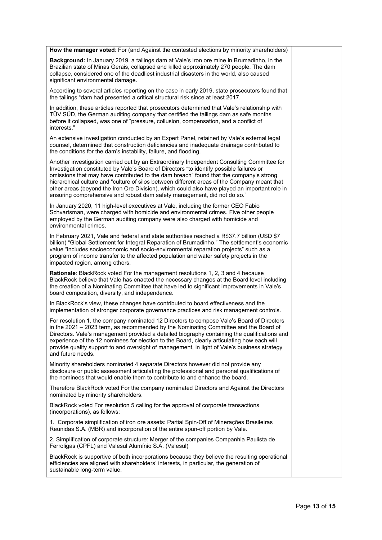| How the manager voted: For (and Against the contested elections by minority shareholders)                                                                                                                                                                                                                                                                                                                                                                                                                                                                     |  |
|---------------------------------------------------------------------------------------------------------------------------------------------------------------------------------------------------------------------------------------------------------------------------------------------------------------------------------------------------------------------------------------------------------------------------------------------------------------------------------------------------------------------------------------------------------------|--|
| Background: In January 2019, a tailings dam at Vale's iron ore mine in Brumadinho, in the<br>Brazilian state of Minas Gerais, collapsed and killed approximately 270 people. The dam<br>collapse, considered one of the deadliest industrial disasters in the world, also caused<br>significant environmental damage.                                                                                                                                                                                                                                         |  |
| According to several articles reporting on the case in early 2019, state prosecutors found that<br>the tailings "dam had presented a critical structural risk since at least 2017.                                                                                                                                                                                                                                                                                                                                                                            |  |
| In addition, these articles reported that prosecutors determined that Vale's relationship with<br>TÜV SÜD, the German auditing company that certified the tailings dam as safe months<br>before it collapsed, was one of "pressure, collusion, compensation, and a conflict of<br>interests."                                                                                                                                                                                                                                                                 |  |
| An extensive investigation conducted by an Expert Panel, retained by Vale's external legal<br>counsel, determined that construction deficiencies and inadequate drainage contributed to<br>the conditions for the dam's instability, failure, and flooding.                                                                                                                                                                                                                                                                                                   |  |
| Another investigation carried out by an Extraordinary Independent Consulting Committee for<br>Investigation constituted by Vale's Board of Directors "to identify possible failures or<br>omissions that may have contributed to the dam breach" found that the company's strong<br>hierarchical culture and "culture of silos between different areas of the Company meant that<br>other areas (beyond the Iron Ore Division), which could also have played an important role in<br>ensuring comprehensive and robust dam safety management, did not do so." |  |
| In January 2020, 11 high-level executives at Vale, including the former CEO Fabio<br>Schvartsman, were charged with homicide and environmental crimes. Five other people<br>employed by the German auditing company were also charged with homicide and<br>environmental crimes.                                                                                                                                                                                                                                                                              |  |
| In February 2021, Vale and federal and state authorities reached a R\$37.7 billion (USD \$7<br>billion) "Global Settlement for Integral Reparation of Brumadinho." The settlement's economic<br>value "includes socioeconomic and socio-environmental reparation projects" such as a<br>program of income transfer to the affected population and water safety projects in the<br>impacted region, among others.                                                                                                                                              |  |
| Rationale: BlackRock voted For the management resolutions 1, 2, 3 and 4 because<br>BlackRock believe that Vale has enacted the necessary changes at the Board level including<br>the creation of a Nominating Committee that have led to significant improvements in Vale's<br>board composition, diversity, and independence.                                                                                                                                                                                                                                |  |
| In BlackRock's view, these changes have contributed to board effectiveness and the<br>implementation of stronger corporate governance practices and risk management controls.                                                                                                                                                                                                                                                                                                                                                                                 |  |
| For resolution 1, the company nominated 12 Directors to compose Vale's Board of Directors<br>in the 2021 - 2023 term, as recommended by the Nominating Committee and the Board of<br>Directors. Vale's management provided a detailed biography containing the qualifications and<br>experience of the 12 nominees for election to the Board, clearly articulating how each will<br>provide quality support to and oversight of management, in light of Vale's business strategy<br>and future needs.                                                         |  |
| Minority shareholders nominated 4 separate Directors however did not provide any<br>disclosure or public assessment articulating the professional and personal qualifications of<br>the nominees that would enable them to contribute to and enhance the board.                                                                                                                                                                                                                                                                                               |  |
| Therefore BlackRock voted For the company nominated Directors and Against the Directors<br>nominated by minority shareholders.                                                                                                                                                                                                                                                                                                                                                                                                                                |  |
| BlackRock voted For resolution 5 calling for the approval of corporate transactions<br>(incorporations), as follows:                                                                                                                                                                                                                                                                                                                                                                                                                                          |  |
| 1. Corporate simplification of iron ore assets: Partial Spin-Off of Minerações Brasileiras<br>Reunidas S.A. (MBR) and incorporation of the entire spun-off portion by Vale.                                                                                                                                                                                                                                                                                                                                                                                   |  |
| 2. Simplification of corporate structure: Merger of the companies Companhia Paulista de<br>Ferroligas (CPFL) and Valesul Alumínio S.A. (Valesul)                                                                                                                                                                                                                                                                                                                                                                                                              |  |
| BlackRock is supportive of both incorporations because they believe the resulting operational<br>efficiencies are aligned with shareholders' interests, in particular, the generation of<br>sustainable long-term value.                                                                                                                                                                                                                                                                                                                                      |  |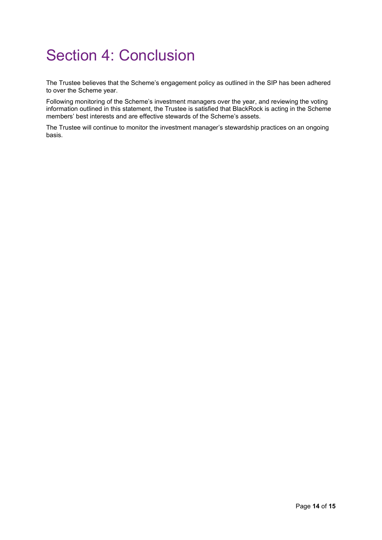## Section 4: Conclusion

The Trustee believes that the Scheme's engagement policy as outlined in the SIP has been adhered to over the Scheme year.

Following monitoring of the Scheme's investment managers over the year, and reviewing the voting information outlined in this statement, the Trustee is satisfied that BlackRock is acting in the Scheme members' best interests and are effective stewards of the Scheme's assets.

The Trustee will continue to monitor the investment manager's stewardship practices on an ongoing basis.